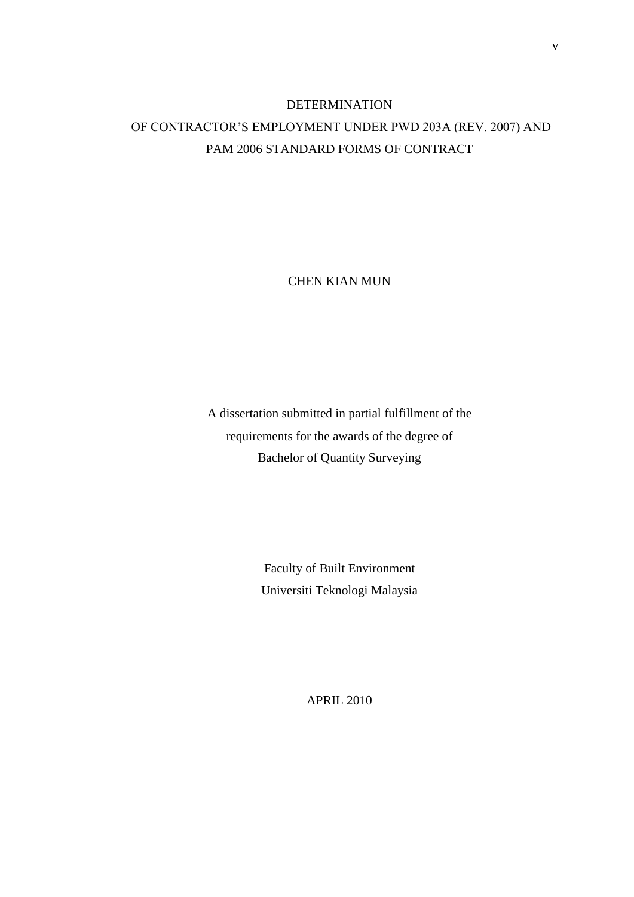## DETERMINATION OF CONTRACTOR'S EMPLOYMENT UNDER PWD 203A (REV. 2007) AND PAM 2006 STANDARD FORMS OF CONTRACT

CHEN KIAN MUN

A dissertation submitted in partial fulfillment of the requirements for the awards of the degree of Bachelor of Quantity Surveying

> Faculty of Built Environment Universiti Teknologi Malaysia

> > APRIL 2010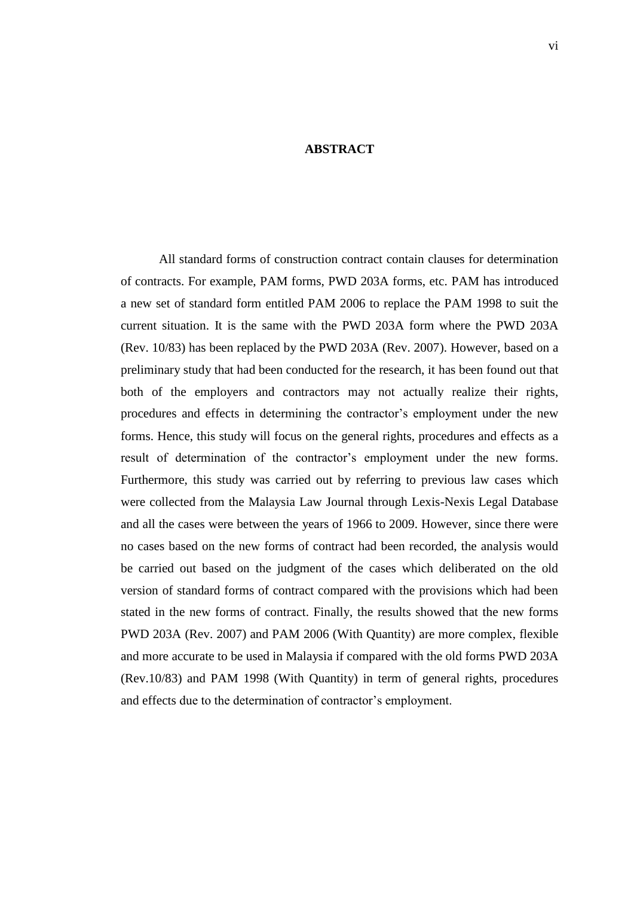## **ABSTRACT**

All standard forms of construction contract contain clauses for determination of contracts. For example, PAM forms, PWD 203A forms, etc. PAM has introduced a new set of standard form entitled PAM 2006 to replace the PAM 1998 to suit the current situation. It is the same with the PWD 203A form where the PWD 203A (Rev. 10/83) has been replaced by the PWD 203A (Rev. 2007). However, based on a preliminary study that had been conducted for the research, it has been found out that both of the employers and contractors may not actually realize their rights, procedures and effects in determining the contractor's employment under the new forms. Hence, this study will focus on the general rights, procedures and effects as a result of determination of the contractor's employment under the new forms. Furthermore, this study was carried out by referring to previous law cases which were collected from the Malaysia Law Journal through Lexis-Nexis Legal Database and all the cases were between the years of 1966 to 2009. However, since there were no cases based on the new forms of contract had been recorded, the analysis would be carried out based on the judgment of the cases which deliberated on the old version of standard forms of contract compared with the provisions which had been stated in the new forms of contract. Finally, the results showed that the new forms PWD 203A (Rev. 2007) and PAM 2006 (With Quantity) are more complex, flexible and more accurate to be used in Malaysia if compared with the old forms PWD 203A (Rev.10/83) and PAM 1998 (With Quantity) in term of general rights, procedures and effects due to the determination of contractor's employment.